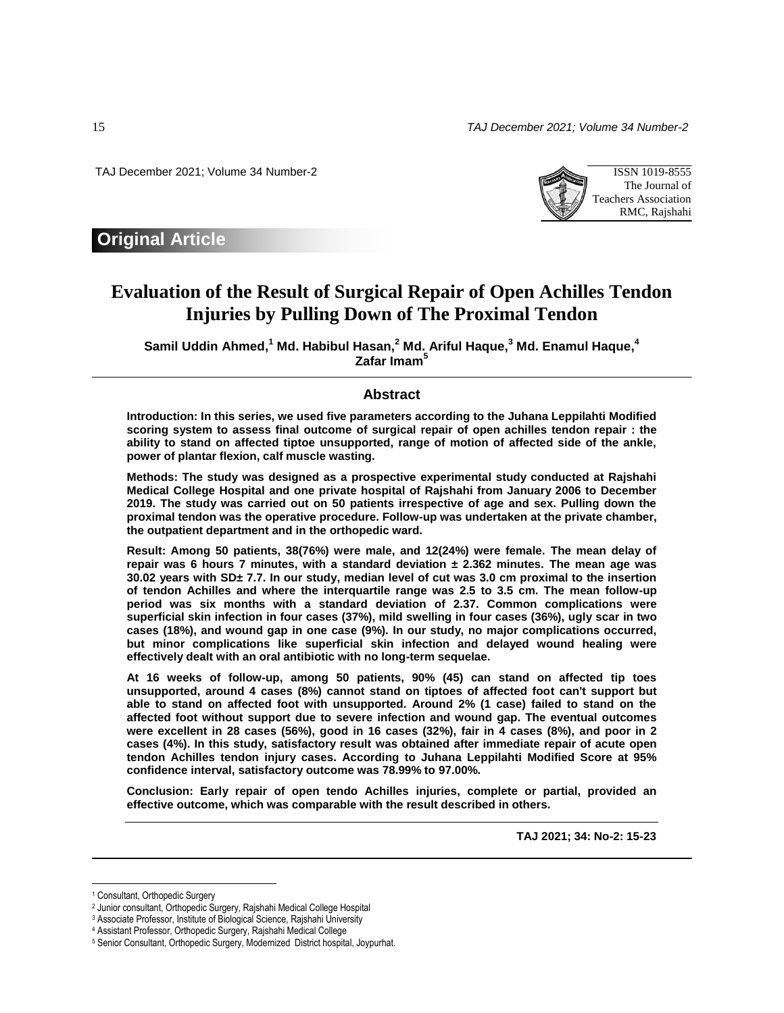15 *TAJ December 2021; Volume 34 Number-2* 

TAJ December 2021; Volume 34 Number-2 ISSN 1019-8555



# **Original Article**

# **Evaluation of the Result of Surgical Repair of Open Achilles Tendon Injuries by Pulling Down of The Proximal Tendon**

**Samil Uddin Ahmed, <sup>1</sup> Md. Habibul Hasan, <sup>2</sup> Md. Ariful Haque, <sup>3</sup> Md. Enamul Haque, 4 Zafar Imam<sup>5</sup>**

#### **Abstract**

**Introduction: In this series, we used five parameters according to the Juhana Leppilahti Modified scoring system to assess final outcome of surgical repair of open achilles tendon repair : the ability to stand on affected tiptoe unsupported, range of motion of affected side of the ankle, power of plantar flexion, calf muscle wasting.** 

**Methods: The study was designed as a prospective experimental study conducted at Rajshahi Medical College Hospital and one private hospital of Rajshahi from January 2006 to December 2019. The study was carried out on 50 patients irrespective of age and sex. Pulling down the proximal tendon was the operative procedure. Follow-up was undertaken at the private chamber, the outpatient department and in the orthopedic ward.**

**Result: Among 50 patients, 38(76%) were male, and 12(24%) were female. The mean delay of repair was 6 hours 7 minutes, with a standard deviation ± 2.362 minutes. The mean age was 30.02 years with SD± 7.7. In our study, median level of cut was 3.0 cm proximal to the insertion of tendon Achilles and where the interquartile range was 2.5 to 3.5 cm. The mean follow-up period was six months with a standard deviation of 2.37. Common complications were superficial skin infection in four cases (37%), mild swelling in four cases (36%), ugly scar in two cases (18%), and wound gap in one case (9%). In our study, no major complications occurred, but minor complications like superficial skin infection and delayed wound healing were effectively dealt with an oral antibiotic with no long-term sequelae.** 

**At 16 weeks of follow-up, among 50 patients, 90% (45) can stand on affected tip toes unsupported, around 4 cases (8%) cannot stand on tiptoes of affected foot can't support but able to stand on affected foot with unsupported. Around 2% (1 case) failed to stand on the affected foot without support due to severe infection and wound gap. The eventual outcomes were excellent in 28 cases (56%), good in 16 cases (32%), fair in 4 cases (8%), and poor in 2 cases (4%). In this study, satisfactory result was obtained after immediate repair of acute open tendon Achilles tendon injury cases. According to Juhana Leppilahti Modified Score at 95% confidence interval, satisfactory outcome was 78.99% to 97.00%.**

**Conclusion: Early repair of open tendo Achilles injuries, complete or partial, provided an effective outcome, which was comparable with the result described in others.**

**TAJ 2021; 34: No-2: 15-23**

 $\overline{\phantom{a}}$ 

<sup>1</sup> Consultant, Orthopedic Surgery

<sup>2</sup> Junior consultant, Orthopedic Surgery, Rajshahi Medical College Hospital

<sup>&</sup>lt;sup>3</sup> Associate Professor, Institute of Biological Science, Rajshahi University

<sup>4</sup> Assistant Professor, Orthopedic Surgery, Rajshahi Medical College

<sup>5</sup> Senior Consultant, Orthopedic Surgery, Modernized District hospital, Joypurhat.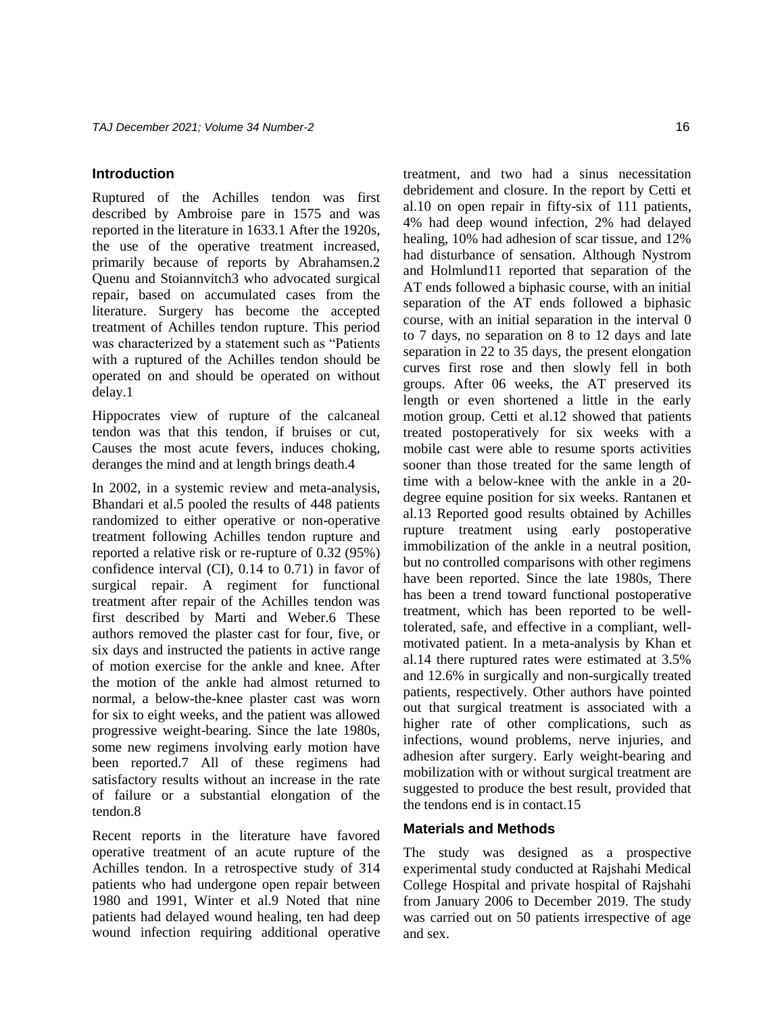#### **Introduction**

Ruptured of the Achilles tendon was first described by Ambroise pare in 1575 and was reported in the literature in 1633.1 After the 1920s, the use of the operative treatment increased, primarily because of reports by Abrahamsen.2 Quenu and Stoiannvitch3 who advocated surgical repair, based on accumulated cases from the literature. Surgery has become the accepted treatment of Achilles tendon rupture. This period was characterized by a statement such as "Patients with a ruptured of the Achilles tendon should be operated on and should be operated on without delay.1

Hippocrates view of rupture of the calcaneal tendon was that this tendon, if bruises or cut, Causes the most acute fevers, induces choking, deranges the mind and at length brings death.4

In 2002, in a systemic review and meta-analysis, Bhandari et al.5 pooled the results of 448 patients randomized to either operative or non-operative treatment following Achilles tendon rupture and reported a relative risk or re-rupture of 0.32 (95%) confidence interval (CI), 0.14 to 0.71) in favor of surgical repair. A regiment for functional treatment after repair of the Achilles tendon was first described by Marti and Weber.6 These authors removed the plaster cast for four, five, or six days and instructed the patients in active range of motion exercise for the ankle and knee. After the motion of the ankle had almost returned to normal, a below-the-knee plaster cast was worn for six to eight weeks, and the patient was allowed progressive weight-bearing. Since the late 1980s, some new regimens involving early motion have been reported.7 All of these regimens had satisfactory results without an increase in the rate of failure or a substantial elongation of the tendon.8

Recent reports in the literature have favored operative treatment of an acute rupture of the Achilles tendon. In a retrospective study of 314 patients who had undergone open repair between 1980 and 1991, Winter et al.9 Noted that nine patients had delayed wound healing, ten had deep wound infection requiring additional operative

treatment, and two had a sinus necessitation debridement and closure. In the report by Cetti et al.10 on open repair in fifty-six of 111 patients, 4% had deep wound infection, 2% had delayed healing, 10% had adhesion of scar tissue, and 12% had disturbance of sensation. Although Nystrom and Holmlund11 reported that separation of the AT ends followed a biphasic course, with an initial separation of the AT ends followed a biphasic course, with an initial separation in the interval 0 to 7 days, no separation on 8 to 12 days and late separation in 22 to 35 days, the present elongation curves first rose and then slowly fell in both groups. After 06 weeks, the AT preserved its length or even shortened a little in the early motion group. Cetti et al.12 showed that patients treated postoperatively for six weeks with a mobile cast were able to resume sports activities sooner than those treated for the same length of time with a below-knee with the ankle in a 20 degree equine position for six weeks. Rantanen et al.13 Reported good results obtained by Achilles rupture treatment using early postoperative immobilization of the ankle in a neutral position, but no controlled comparisons with other regimens have been reported. Since the late 1980s, There has been a trend toward functional postoperative treatment, which has been reported to be welltolerated, safe, and effective in a compliant, wellmotivated patient. In a meta-analysis by Khan et al.14 there ruptured rates were estimated at 3.5% and 12.6% in surgically and non-surgically treated patients, respectively. Other authors have pointed out that surgical treatment is associated with a higher rate of other complications, such as infections, wound problems, nerve injuries, and adhesion after surgery. Early weight-bearing and mobilization with or without surgical treatment are suggested to produce the best result, provided that the tendons end is in contact.15

#### **Materials and Methods**

The study was designed as a prospective experimental study conducted at Rajshahi Medical College Hospital and private hospital of Rajshahi from January 2006 to December 2019. The study was carried out on 50 patients irrespective of age and sex.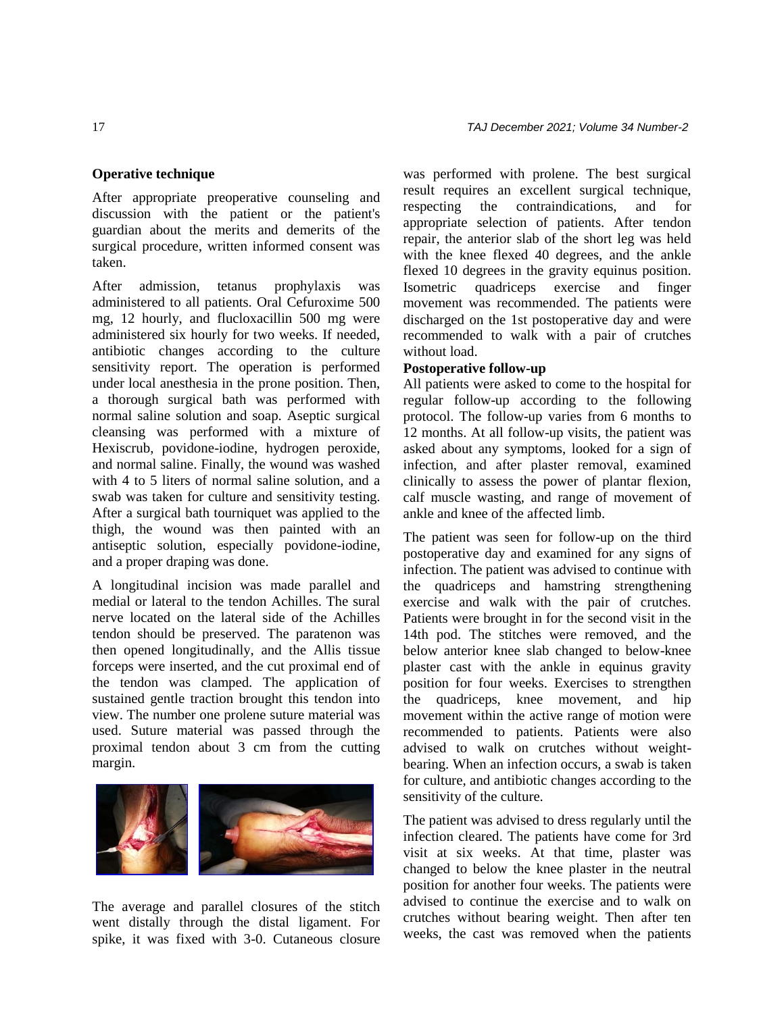After appropriate preoperative counseling and discussion with the patient or the patient's guardian about the merits and demerits of the surgical procedure, written informed consent was taken.

After admission, tetanus prophylaxis was administered to all patients. Oral Cefuroxime 500 mg, 12 hourly, and flucloxacillin 500 mg were administered six hourly for two weeks. If needed, antibiotic changes according to the culture sensitivity report. The operation is performed under local anesthesia in the prone position. Then, a thorough surgical bath was performed with normal saline solution and soap. Aseptic surgical cleansing was performed with a mixture of Hexiscrub, povidone-iodine, hydrogen peroxide, and normal saline. Finally, the wound was washed with 4 to 5 liters of normal saline solution, and a swab was taken for culture and sensitivity testing. After a surgical bath tourniquet was applied to the thigh, the wound was then painted with an antiseptic solution, especially povidone-iodine, and a proper draping was done.

A longitudinal incision was made parallel and medial or lateral to the tendon Achilles. The sural nerve located on the lateral side of the Achilles tendon should be preserved. The paratenon was then opened longitudinally, and the Allis tissue forceps were inserted, and the cut proximal end of the tendon was clamped. The application of sustained gentle traction brought this tendon into view. The number one prolene suture material was used. Suture material was passed through the proximal tendon about 3 cm from the cutting margin.



The average and parallel closures of the stitch went distally through the distal ligament. For spike, it was fixed with 3-0. Cutaneous closure was performed with prolene. The best surgical result requires an excellent surgical technique, respecting the contraindications, and for appropriate selection of patients. After tendon repair, the anterior slab of the short leg was held with the knee flexed 40 degrees, and the ankle flexed 10 degrees in the gravity equinus position. Isometric quadriceps exercise and finger movement was recommended. The patients were discharged on the 1st postoperative day and were recommended to walk with a pair of crutches without load.

#### **Postoperative follow-up**

All patients were asked to come to the hospital for regular follow-up according to the following protocol. The follow-up varies from 6 months to 12 months. At all follow-up visits, the patient was asked about any symptoms, looked for a sign of infection, and after plaster removal, examined clinically to assess the power of plantar flexion, calf muscle wasting, and range of movement of ankle and knee of the affected limb.

The patient was seen for follow-up on the third postoperative day and examined for any signs of infection. The patient was advised to continue with the quadriceps and hamstring strengthening exercise and walk with the pair of crutches. Patients were brought in for the second visit in the 14th pod. The stitches were removed, and the below anterior knee slab changed to below-knee plaster cast with the ankle in equinus gravity position for four weeks. Exercises to strengthen the quadriceps, knee movement, and hip movement within the active range of motion were recommended to patients. Patients were also advised to walk on crutches without weightbearing. When an infection occurs, a swab is taken for culture, and antibiotic changes according to the sensitivity of the culture.

The patient was advised to dress regularly until the infection cleared. The patients have come for 3rd visit at six weeks. At that time, plaster was changed to below the knee plaster in the neutral position for another four weeks. The patients were advised to continue the exercise and to walk on crutches without bearing weight. Then after ten weeks, the cast was removed when the patients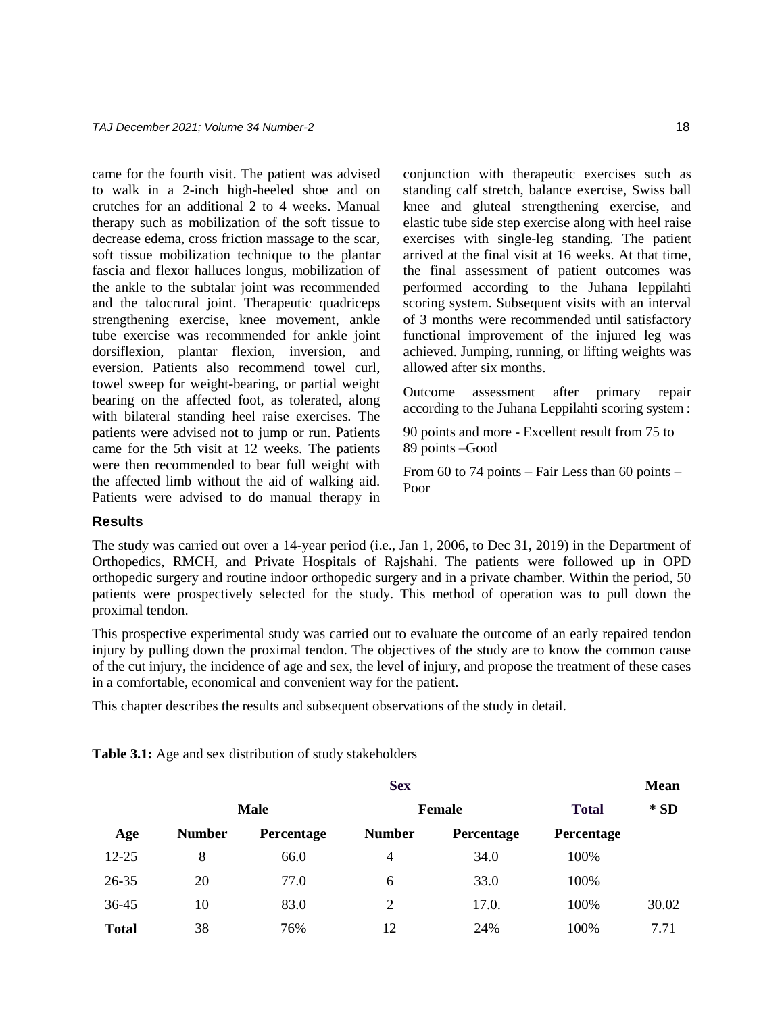came for the fourth visit. The patient was advised to walk in a 2-inch high-heeled shoe and on crutches for an additional 2 to 4 weeks. Manual therapy such as mobilization of the soft tissue to decrease edema, cross friction massage to the scar, soft tissue mobilization technique to the plantar fascia and flexor halluces longus, mobilization of the ankle to the subtalar joint was recommended and the talocrural joint. Therapeutic quadriceps strengthening exercise, knee movement, ankle tube exercise was recommended for ankle joint dorsiflexion, plantar flexion, inversion, and eversion. Patients also recommend towel curl, towel sweep for weight-bearing, or partial weight bearing on the affected foot, as tolerated, along with bilateral standing heel raise exercises. The patients were advised not to jump or run. Patients came for the 5th visit at 12 weeks. The patients were then recommended to bear full weight with the affected limb without the aid of walking aid. Patients were advised to do manual therapy in conjunction with therapeutic exercises such as standing calf stretch, balance exercise, Swiss ball knee and gluteal strengthening exercise, and elastic tube side step exercise along with heel raise exercises with single-leg standing. The patient arrived at the final visit at 16 weeks. At that time, the final assessment of patient outcomes was performed according to the Juhana leppilahti scoring system. Subsequent visits with an interval of 3 months were recommended until satisfactory functional improvement of the injured leg was achieved. Jumping, running, or lifting weights was allowed after six months.

Outcome assessment after primary repair according to the Juhana Leppilahti scoring system :

90 points and more - Excellent result from 75 to 89 points –Good

From 60 to 74 points – Fair Less than 60 points – Poor

#### **Results**

The study was carried out over a 14-year period (i.e., Jan 1, 2006, to Dec 31, 2019) in the Department of Orthopedics, RMCH, and Private Hospitals of Rajshahi. The patients were followed up in OPD orthopedic surgery and routine indoor orthopedic surgery and in a private chamber. Within the period, 50 patients were prospectively selected for the study. This method of operation was to pull down the proximal tendon.

This prospective experimental study was carried out to evaluate the outcome of an early repaired tendon injury by pulling down the proximal tendon. The objectives of the study are to know the common cause of the cut injury, the incidence of age and sex, the level of injury, and propose the treatment of these cases in a comfortable, economical and convenient way for the patient.

This chapter describes the results and subsequent observations of the study in detail.

**Table 3.1:** Age and sex distribution of study stakeholders

|              | <b>Sex</b>    |             |               |            |              | <b>Mean</b> |  |
|--------------|---------------|-------------|---------------|------------|--------------|-------------|--|
|              |               | <b>Male</b> |               | Female     | <b>Total</b> | $*$ SD      |  |
| Age          | <b>Number</b> | Percentage  | <b>Number</b> | Percentage | Percentage   |             |  |
| $12 - 25$    | 8             | 66.0        | 4             | 34.0       | 100%         |             |  |
| 26-35        | 20            | 77.0        | 6             | 33.0       | 100%         |             |  |
| 36-45        | 10            | 83.0        | 2             | 17.0.      | 100%         | 30.02       |  |
| <b>Total</b> | 38            | 76%         | 12            | 24%        | 100%         | 7.71        |  |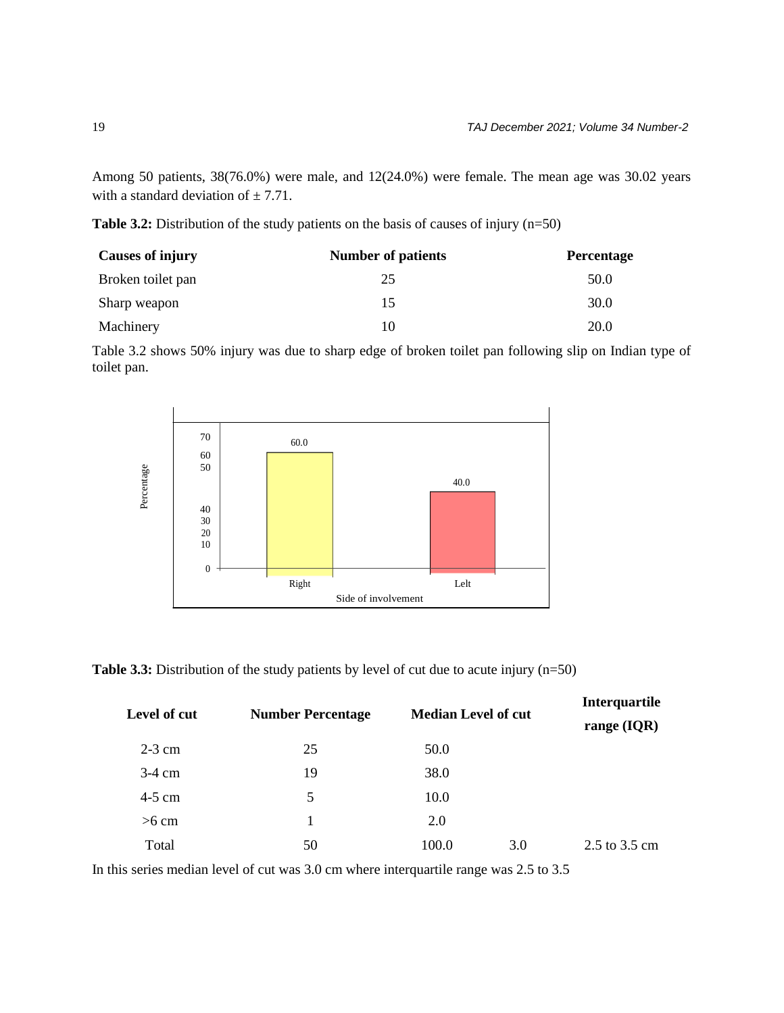Among 50 patients, 38(76.0%) were male, and 12(24.0%) were female. The mean age was 30.02 years with a standard deviation of  $\pm$  7.71.

**Table 3.2:** Distribution of the study patients on the basis of causes of injury (n=50)

| <b>Causes of injury</b> | <b>Number of patients</b> | <b>Percentage</b> |
|-------------------------|---------------------------|-------------------|
| Broken toilet pan       | 25                        | 50.0              |
| Sharp weapon            | 15                        | 30.0              |
| Machinery               | 10                        | 20.0              |

Table 3.2 shows 50% injury was due to sharp edge of broken toilet pan following slip on Indian type of toilet pan.



| Percentage                                                                                        | 40<br>30<br>20<br>10 |                          |                     | 40.0                       |                                |
|---------------------------------------------------------------------------------------------------|----------------------|--------------------------|---------------------|----------------------------|--------------------------------|
|                                                                                                   | $\overline{0}$       | Right                    |                     | Lelt                       |                                |
|                                                                                                   |                      |                          | Side of involvement |                            |                                |
| <b>Table 3.3:</b> Distribution of the study patients by level of cut due to acute injury $(n=50)$ |                      |                          |                     |                            |                                |
| Level of cut                                                                                      |                      | <b>Number Percentage</b> |                     | <b>Median Level of cut</b> |                                |
| $2-3$ cm                                                                                          |                      | 25                       | 50.0                |                            | Interquartile<br>range $(IQR)$ |
| $3-4$ cm                                                                                          |                      | 19                       | 38.0                |                            |                                |
| 4-5 cm                                                                                            |                      | 5                        | 10.0                |                            |                                |
| $>6$ cm                                                                                           |                      | 1                        | 2.0                 |                            |                                |
| Total                                                                                             |                      | 50                       | 100.0               | 3.0                        | 2.5 to 3.5 cm                  |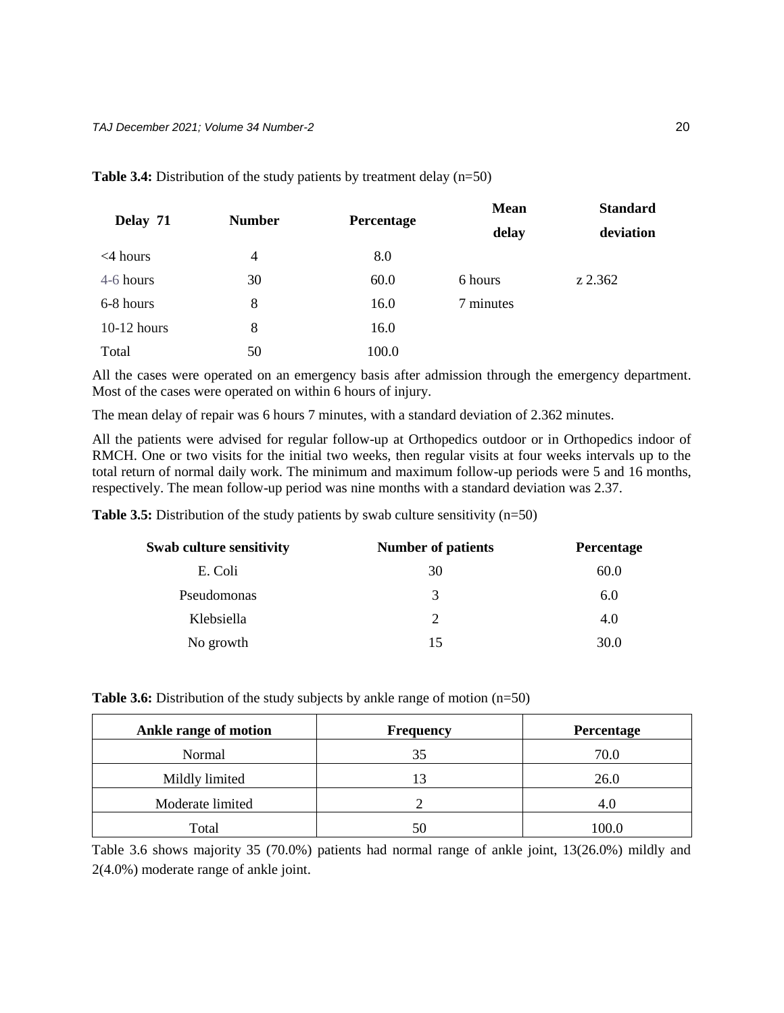| Delay 71       | <b>Number</b>  |            | <b>Mean</b> | <b>Standard</b> |  |
|----------------|----------------|------------|-------------|-----------------|--|
|                |                | Percentage | delay       | deviation       |  |
| $\leq$ 4 hours | $\overline{4}$ | 8.0        |             |                 |  |
| 4-6 hours      | 30             | 60.0       | 6 hours     | z 2.362         |  |
| 6-8 hours      | 8              | 16.0       | 7 minutes   |                 |  |
| $10-12$ hours  | 8              | 16.0       |             |                 |  |
| Total          | 50             | 100.0      |             |                 |  |

**Table 3.4:** Distribution of the study patients by treatment delay (n=50)

All the cases were operated on an emergency basis after admission through the emergency department. Most of the cases were operated on within 6 hours of injury.

The mean delay of repair was 6 hours 7 minutes, with a standard deviation of 2.362 minutes.

All the patients were advised for regular follow-up at Orthopedics outdoor or in Orthopedics indoor of RMCH. One or two visits for the initial two weeks, then regular visits at four weeks intervals up to the total return of normal daily work. The minimum and maximum follow-up periods were 5 and 16 months, respectively. The mean follow-up period was nine months with a standard deviation was 2.37.

**Table 3.5:** Distribution of the study patients by swab culture sensitivity (n=50)

| <b>Swab culture sensitivity</b> | <b>Number of patients</b>   | Percentage |  |
|---------------------------------|-----------------------------|------------|--|
| E. Coli                         | 30                          | 60.0       |  |
| Pseudomonas                     | 3                           | 6.0        |  |
| Klebsiella                      | $\mathcal{D}_{\mathcal{L}}$ | 4.0        |  |
| No growth                       | 15                          | 30.0       |  |

| <b>Table 3.6:</b> Distribution of the study subjects by ankle range of motion $(n=50)$ |  |
|----------------------------------------------------------------------------------------|--|
|----------------------------------------------------------------------------------------|--|

| Ankle range of motion | <b>Frequency</b> | Percentage |
|-----------------------|------------------|------------|
| Normal                | 35               | 70.0       |
| Mildly limited        | 13               | 26.0       |
| Moderate limited      |                  | 4.U        |
| Total                 |                  | 100.0      |

Table 3.6 shows majority 35 (70.0%) patients had normal range of ankle joint, 13(26.0%) mildly and 2(4.0%) moderate range of ankle joint.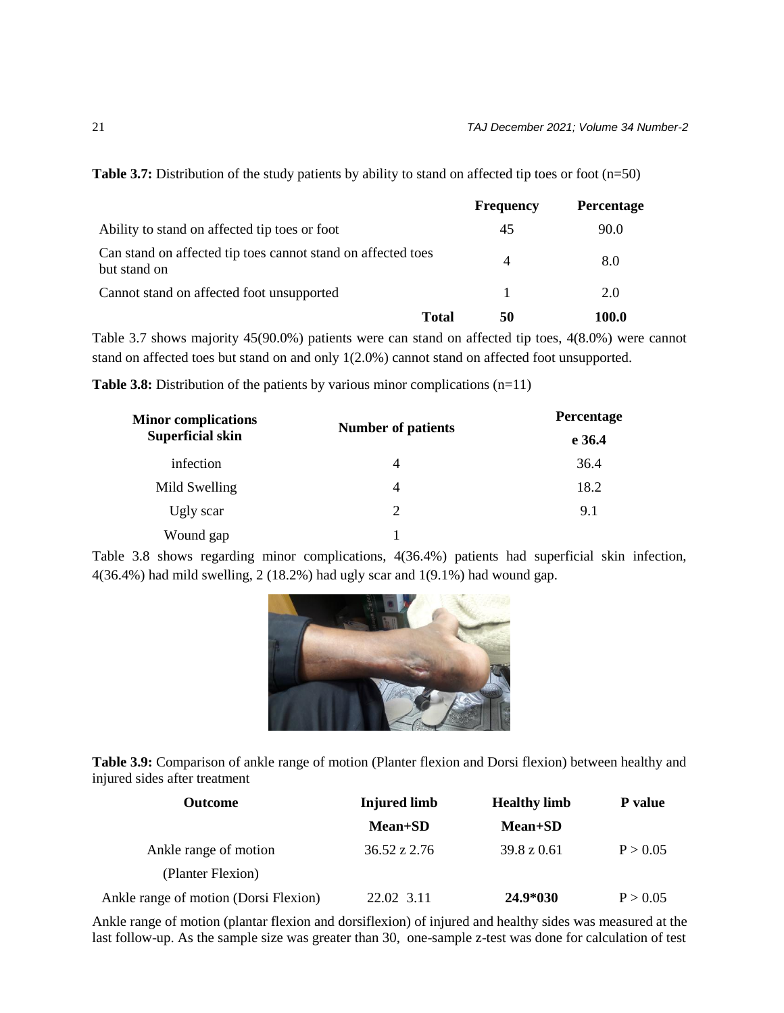|                                                                              | <b>Frequency</b> | <b>Percentage</b> |
|------------------------------------------------------------------------------|------------------|-------------------|
| Ability to stand on affected tip toes or foot                                | 45               | 90.0              |
| Can stand on affected tip toes cannot stand on affected toes<br>but stand on | 4                | 8.0               |
| Cannot stand on affected foot unsupported                                    |                  | 2.0               |
| <b>Total</b>                                                                 | 50               | 100.0             |

**Table 3.7:** Distribution of the study patients by ability to stand on affected tip toes or foot (n=50)

Table 3.7 shows majority 45(90.0%) patients were can stand on affected tip toes, 4(8.0%) were cannot stand on affected toes but stand on and only 1(2.0%) cannot stand on affected foot unsupported.

**Table 3.8:** Distribution of the patients by various minor complications (n=11)

| <b>Minor complications</b> |                           | Percentage<br>e 36.4 |  |
|----------------------------|---------------------------|----------------------|--|
| <b>Superficial skin</b>    | <b>Number of patients</b> |                      |  |
| infection                  | 4                         | 36.4                 |  |
| Mild Swelling              | 4                         | 18.2                 |  |
| Ugly scar                  | $\overline{2}$            | 9.1                  |  |
| Wound gap                  |                           |                      |  |

Table 3.8 shows regarding minor complications, 4(36.4%) patients had superficial skin infection, 4(36.4%) had mild swelling, 2 (18.2%) had ugly scar and 1(9.1%) had wound gap.



**Table 3.9:** Comparison of ankle range of motion (Planter flexion and Dorsi flexion) between healthy and injured sides after treatment

| <b>Outcome</b>                        | <b>Injured limb</b>     | <b>Healthy limb</b>    | P value  |
|---------------------------------------|-------------------------|------------------------|----------|
|                                       | <b>Mean+SD</b>          | <b>Mean+SD</b>         |          |
| Ankle range of motion                 | $36.52 \text{ z } 2.76$ | $39.8 \text{ z } 0.61$ | P > 0.05 |
| (Planter Flexion)                     |                         |                        |          |
| Ankle range of motion (Dorsi Flexion) | 22.02 3.11              | 24.9*030               | P > 0.05 |

Ankle range of motion (plantar flexion and dorsiflexion) of injured and healthy sides was measured at the last follow-up. As the sample size was greater than 30, one-sample z-test was done for calculation of test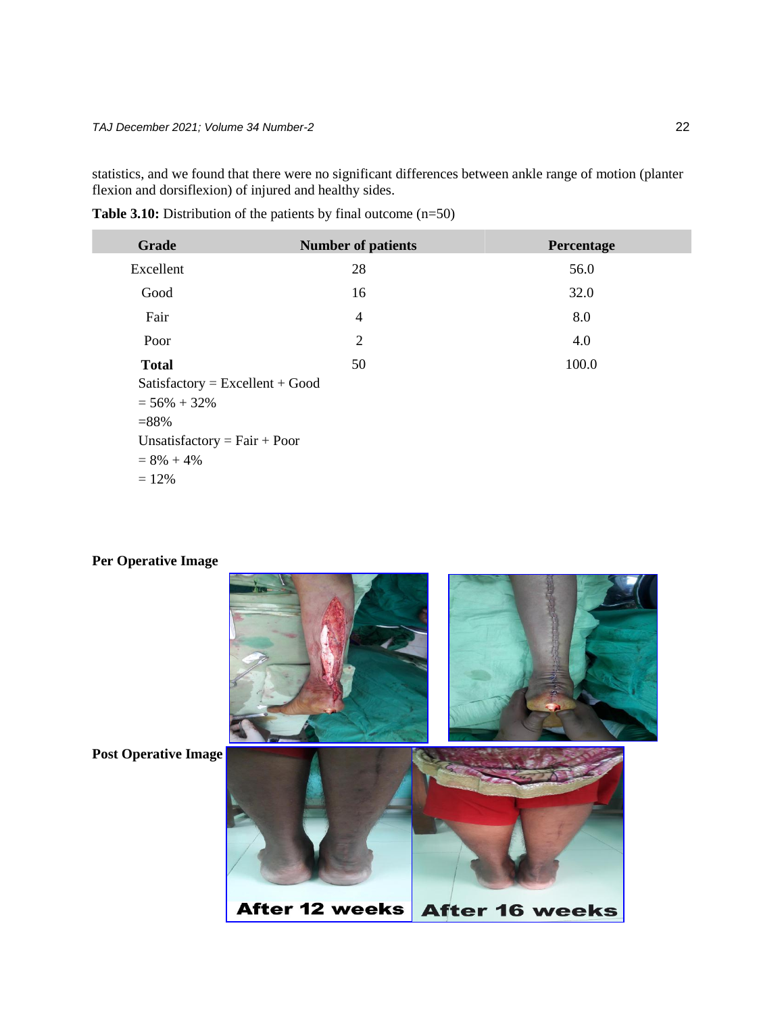statistics, and we found that there were no significant differences between ankle range of motion (planter flexion and dorsiflexion) of injured and healthy sides.

| <b>Table 3.10:</b> Distribution of the patients by final outcome $(n=50)$ |  |  |
|---------------------------------------------------------------------------|--|--|
|---------------------------------------------------------------------------|--|--|

| <b>Grade</b>                      | <b>Number of patients</b> | Percentage |
|-----------------------------------|---------------------------|------------|
| Excellent                         | 28                        | 56.0       |
| Good                              | 16                        | 32.0       |
| Fair                              | $\overline{4}$            | 8.0        |
| Poor                              | $\overline{2}$            | 4.0        |
| <b>Total</b>                      | 50                        | 100.0      |
| $Satisfactory = Excellent + Good$ |                           |            |
| $= 56\% + 32\%$                   |                           |            |
| $= 88%$                           |                           |            |
| Unsatisfactory = $Fair + Poor$    |                           |            |
| $= 8\% + 4\%$                     |                           |            |
| $= 12%$                           |                           |            |

## **Per Operative Image**